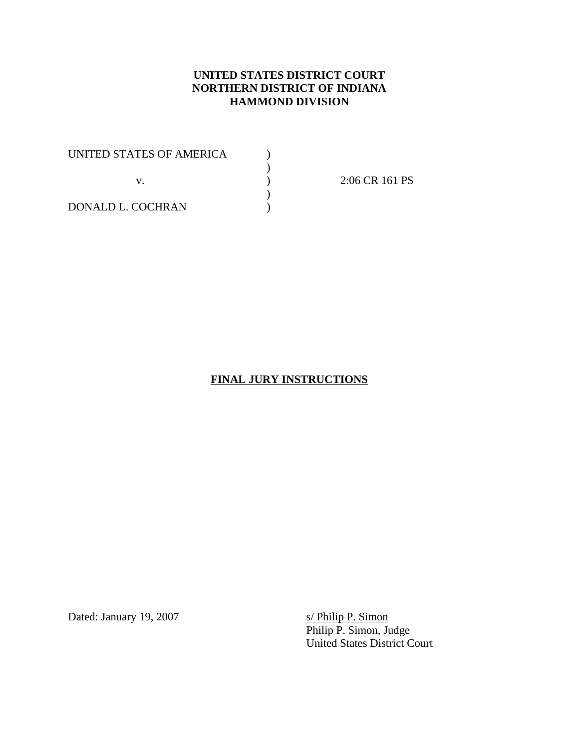## **UNITED STATES DISTRICT COURT NORTHERN DISTRICT OF INDIANA HAMMOND DIVISION**

 $\sum_{i=1}^{n}$ 

UNITED STATES OF AMERICA  $\begin{array}{c} \tt() \\\mathbb{V}. \end{array}$  $)$ v. )

2:06 CR 161 PS

DONALD L. COCHRAN )

#### **FINAL JURY INSTRUCTIONS**

Dated: January 19, 2007

s/ Philip P. Simon<br>Philip P. Simon, Judge United States District Court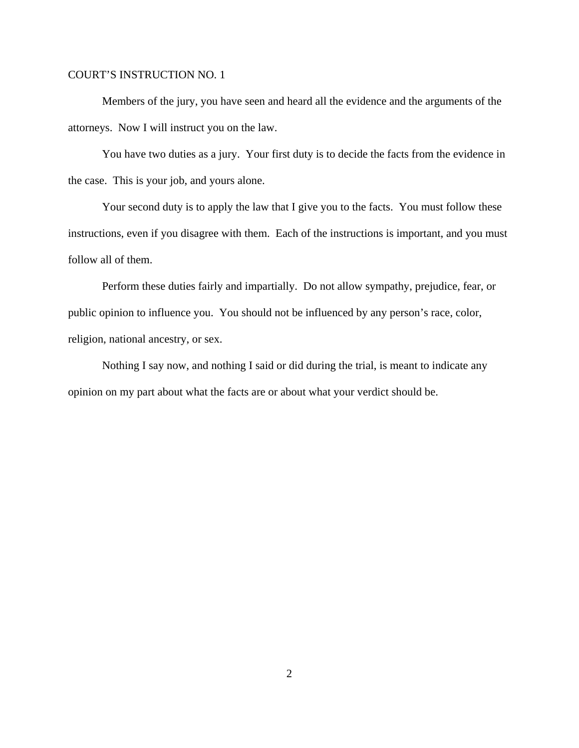Members of the jury, you have seen and heard all the evidence and the arguments of the attorneys. Now I will instruct you on the law.

You have two duties as a jury. Your first duty is to decide the facts from the evidence in the case. This is your job, and yours alone.

Your second duty is to apply the law that I give you to the facts. You must follow these instructions, even if you disagree with them. Each of the instructions is important, and you must follow all of them.

Perform these duties fairly and impartially. Do not allow sympathy, prejudice, fear, or public opinion to influence you. You should not be influenced by any person's race, color, religion, national ancestry, or sex.

Nothing I say now, and nothing I said or did during the trial, is meant to indicate any opinion on my part about what the facts are or about what your verdict should be.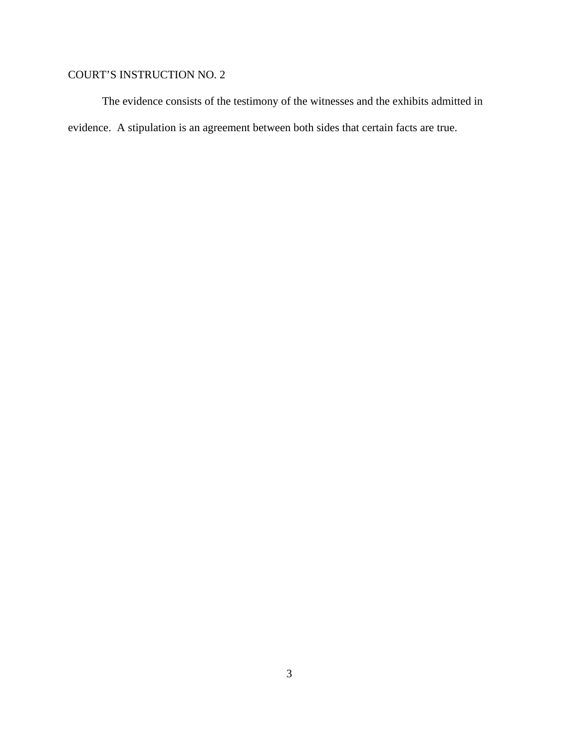The evidence consists of the testimony of the witnesses and the exhibits admitted in evidence. A stipulation is an agreement between both sides that certain facts are true.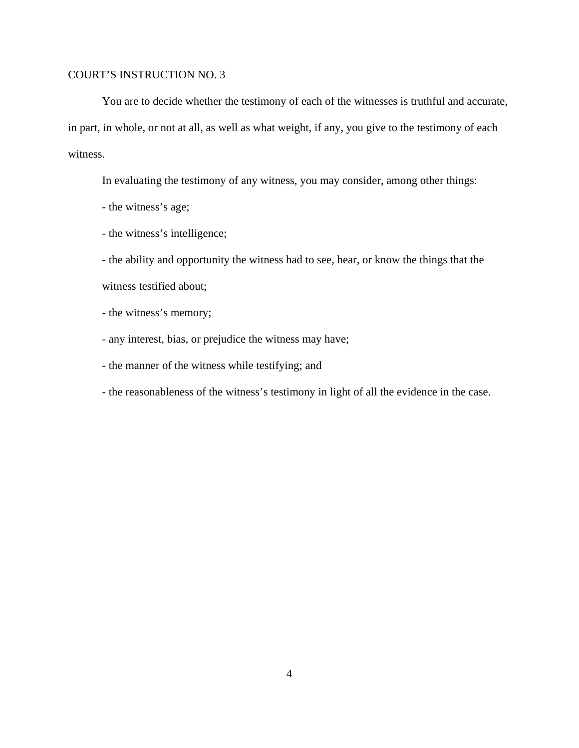You are to decide whether the testimony of each of the witnesses is truthful and accurate, in part, in whole, or not at all, as well as what weight, if any, you give to the testimony of each witness.

In evaluating the testimony of any witness, you may consider, among other things:

- the witness's age;

- the witness's intelligence;

- the ability and opportunity the witness had to see, hear, or know the things that the witness testified about;

- the witness's memory;

- any interest, bias, or prejudice the witness may have;

- the manner of the witness while testifying; and

- the reasonableness of the witness's testimony in light of all the evidence in the case.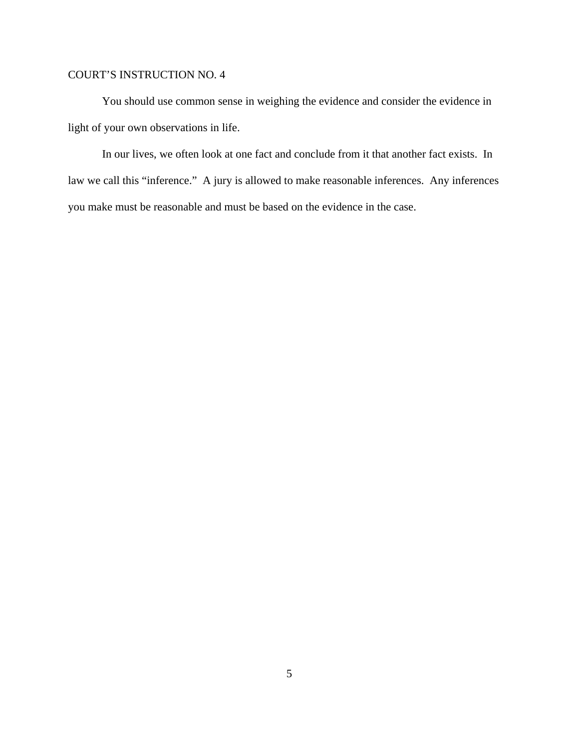You should use common sense in weighing the evidence and consider the evidence in light of your own observations in life.

In our lives, we often look at one fact and conclude from it that another fact exists. In law we call this "inference." A jury is allowed to make reasonable inferences. Any inferences you make must be reasonable and must be based on the evidence in the case.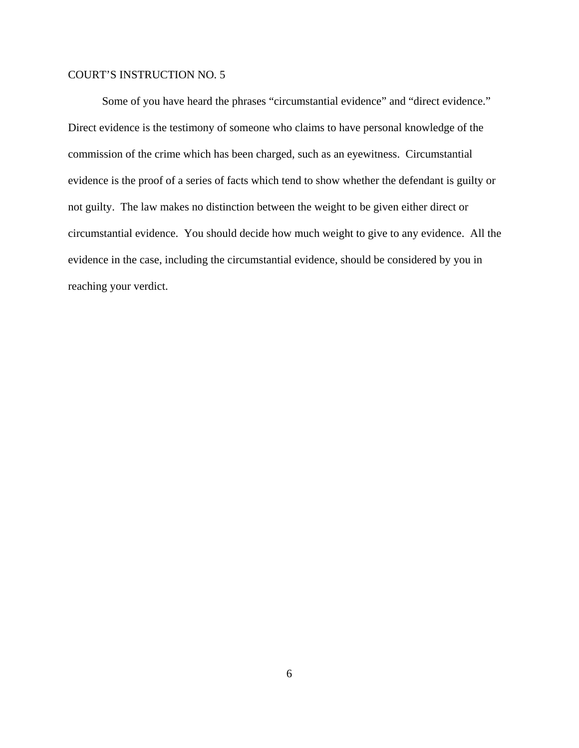Some of you have heard the phrases "circumstantial evidence" and "direct evidence." Direct evidence is the testimony of someone who claims to have personal knowledge of the commission of the crime which has been charged, such as an eyewitness. Circumstantial evidence is the proof of a series of facts which tend to show whether the defendant is guilty or not guilty. The law makes no distinction between the weight to be given either direct or circumstantial evidence. You should decide how much weight to give to any evidence. All the evidence in the case, including the circumstantial evidence, should be considered by you in reaching your verdict.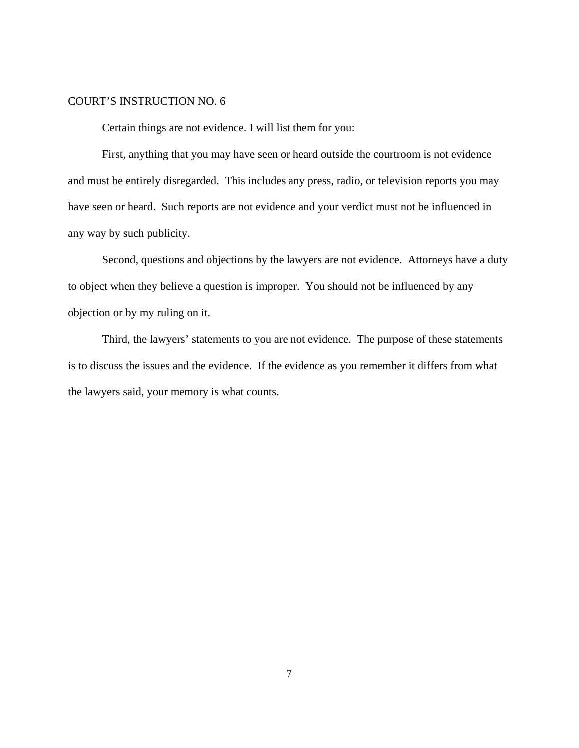Certain things are not evidence. I will list them for you:

First, anything that you may have seen or heard outside the courtroom is not evidence and must be entirely disregarded. This includes any press, radio, or television reports you may have seen or heard. Such reports are not evidence and your verdict must not be influenced in any way by such publicity.

Second, questions and objections by the lawyers are not evidence. Attorneys have a duty to object when they believe a question is improper. You should not be influenced by any objection or by my ruling on it.

Third, the lawyers' statements to you are not evidence. The purpose of these statements is to discuss the issues and the evidence. If the evidence as you remember it differs from what the lawyers said, your memory is what counts.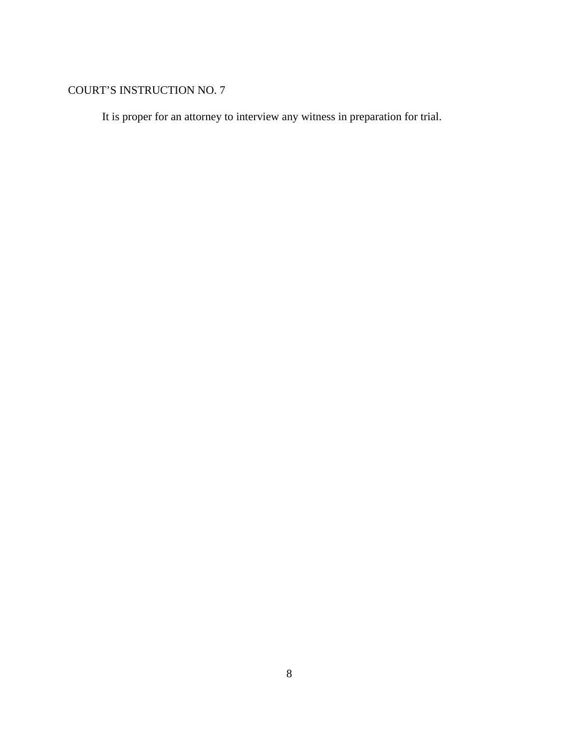It is proper for an attorney to interview any witness in preparation for trial.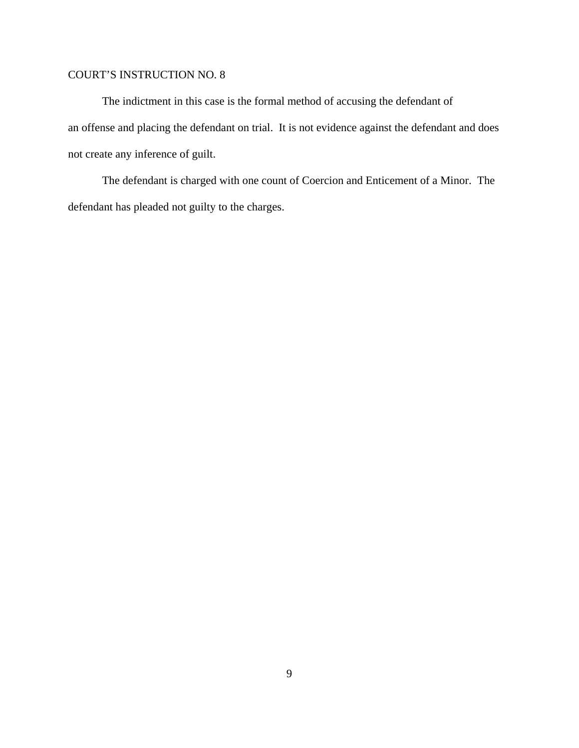The indictment in this case is the formal method of accusing the defendant of an offense and placing the defendant on trial. It is not evidence against the defendant and does not create any inference of guilt.

The defendant is charged with one count of Coercion and Enticement of a Minor. The defendant has pleaded not guilty to the charges.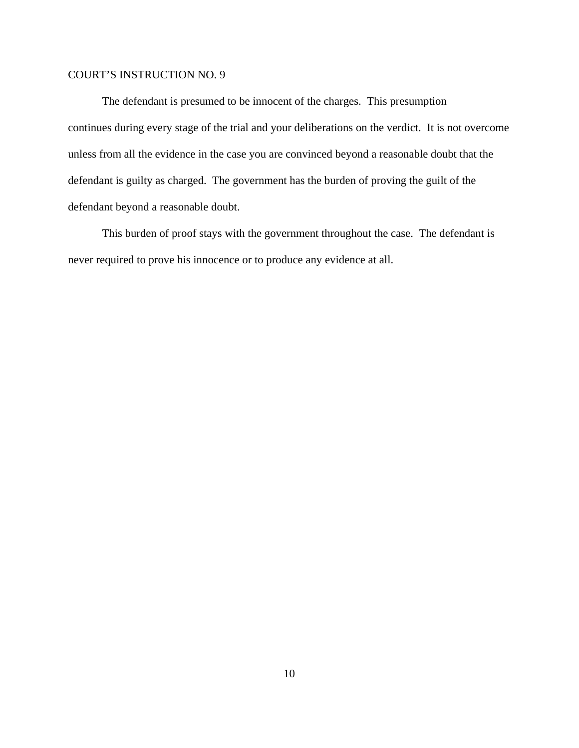The defendant is presumed to be innocent of the charges. This presumption continues during every stage of the trial and your deliberations on the verdict. It is not overcome unless from all the evidence in the case you are convinced beyond a reasonable doubt that the defendant is guilty as charged. The government has the burden of proving the guilt of the defendant beyond a reasonable doubt.

This burden of proof stays with the government throughout the case. The defendant is never required to prove his innocence or to produce any evidence at all.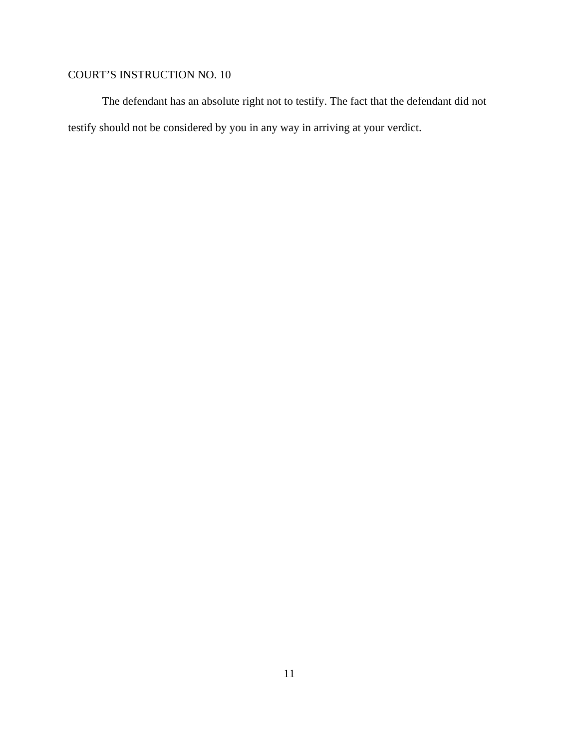The defendant has an absolute right not to testify. The fact that the defendant did not testify should not be considered by you in any way in arriving at your verdict.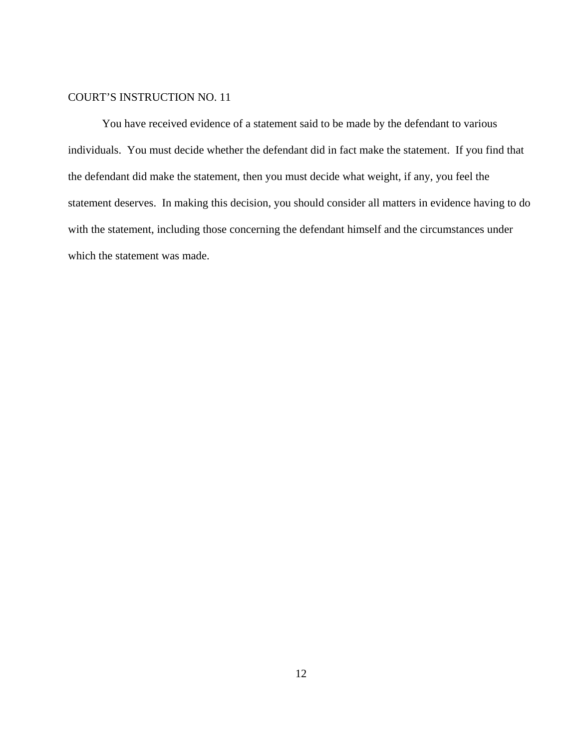You have received evidence of a statement said to be made by the defendant to various individuals. You must decide whether the defendant did in fact make the statement. If you find that the defendant did make the statement, then you must decide what weight, if any, you feel the statement deserves. In making this decision, you should consider all matters in evidence having to do with the statement, including those concerning the defendant himself and the circumstances under which the statement was made.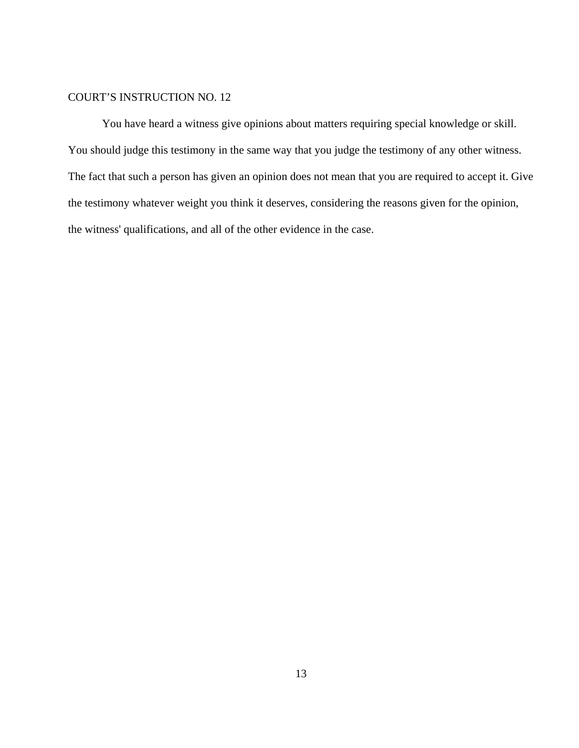You have heard a witness give opinions about matters requiring special knowledge or skill. You should judge this testimony in the same way that you judge the testimony of any other witness. The fact that such a person has given an opinion does not mean that you are required to accept it. Give the testimony whatever weight you think it deserves, considering the reasons given for the opinion, the witness' qualifications, and all of the other evidence in the case.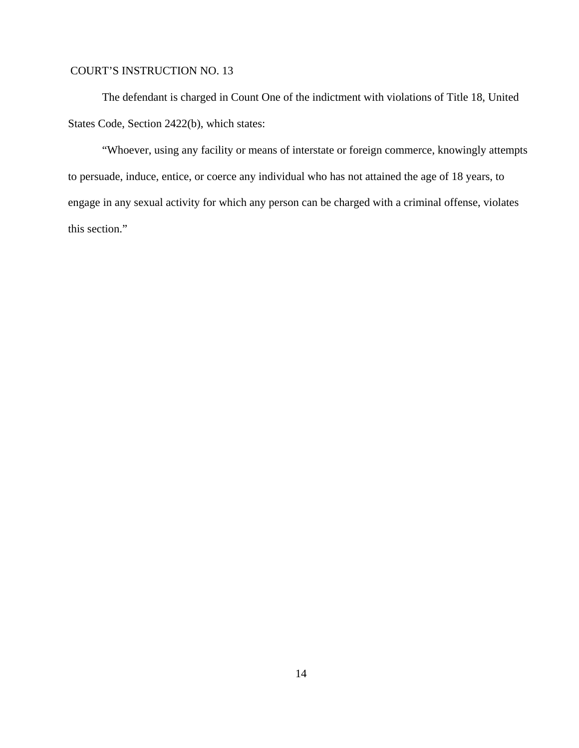The defendant is charged in Count One of the indictment with violations of Title 18, United States Code, Section 2422(b), which states:

"Whoever, using any facility or means of interstate or foreign commerce, knowingly attempts to persuade, induce, entice, or coerce any individual who has not attained the age of 18 years, to engage in any sexual activity for which any person can be charged with a criminal offense, violates this section."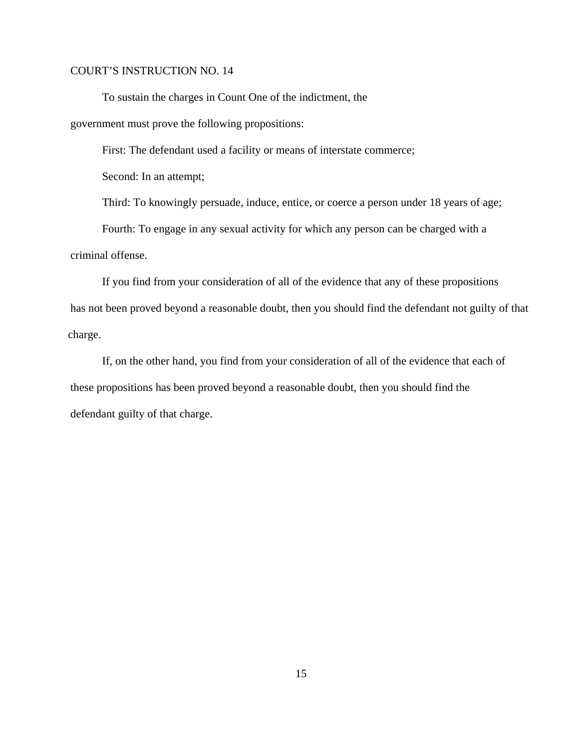To sustain the charges in Count One of the indictment, the

government must prove the following propositions:

First: The defendant used a facility or means of interstate commerce;

Second: In an attempt;

Third: To knowingly persuade, induce, entice, or coerce a person under 18 years of age;

Fourth: To engage in any sexual activity for which any person can be charged with a criminal offense.

If you find from your consideration of all of the evidence that any of these propositions has not been proved beyond a reasonable doubt, then you should find the defendant not guilty of that charge.

If, on the other hand, you find from your consideration of all of the evidence that each of these propositions has been proved beyond a reasonable doubt, then you should find the defendant guilty of that charge.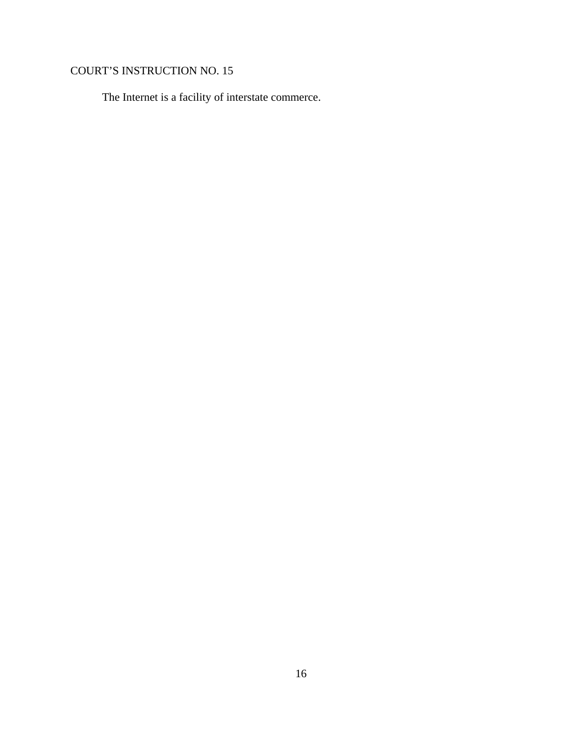The Internet is a facility of interstate commerce.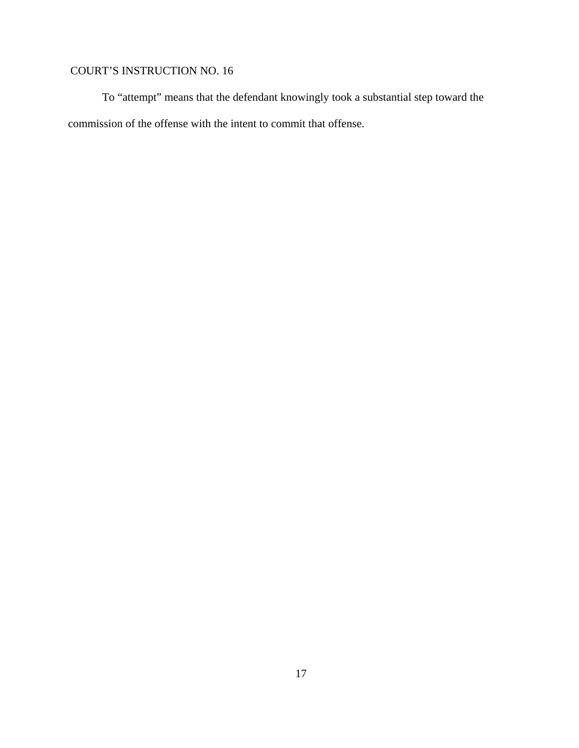To "attempt" means that the defendant knowingly took a substantial step toward the commission of the offense with the intent to commit that offense.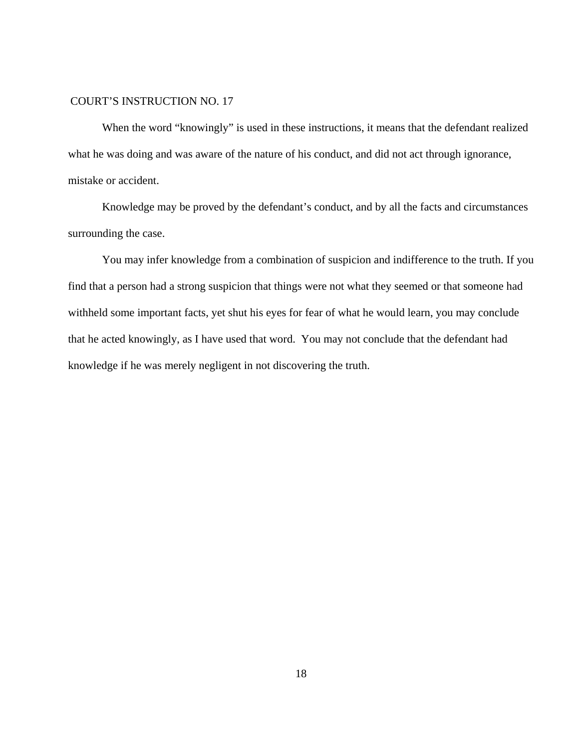When the word "knowingly" is used in these instructions, it means that the defendant realized what he was doing and was aware of the nature of his conduct, and did not act through ignorance, mistake or accident.

Knowledge may be proved by the defendant's conduct, and by all the facts and circumstances surrounding the case.

You may infer knowledge from a combination of suspicion and indifference to the truth. If you find that a person had a strong suspicion that things were not what they seemed or that someone had withheld some important facts, yet shut his eyes for fear of what he would learn, you may conclude that he acted knowingly, as I have used that word. You may not conclude that the defendant had knowledge if he was merely negligent in not discovering the truth.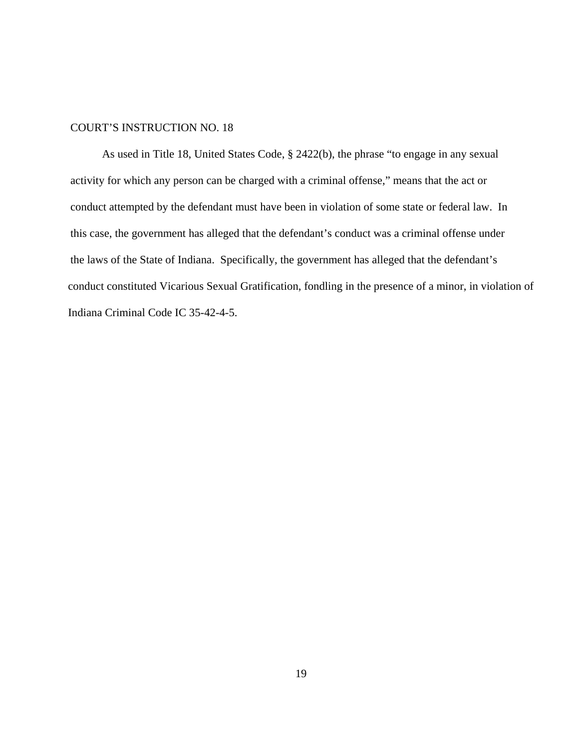As used in Title 18, United States Code, § 2422(b), the phrase "to engage in any sexual activity for which any person can be charged with a criminal offense," means that the act or conduct attempted by the defendant must have been in violation of some state or federal law. In this case, the government has alleged that the defendant's conduct was a criminal offense under the laws of the State of Indiana. Specifically, the government has alleged that the defendant's conduct constituted Vicarious Sexual Gratification, fondling in the presence of a minor, in violation of Indiana Criminal Code IC 35-42-4-5.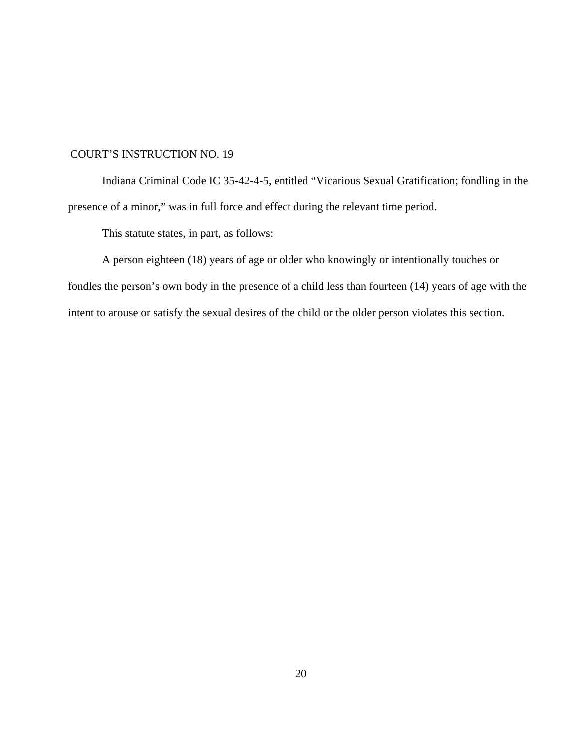Indiana Criminal Code IC 35-42-4-5, entitled "Vicarious Sexual Gratification; fondling in the presence of a minor," was in full force and effect during the relevant time period.

This statute states, in part, as follows:

A person eighteen (18) years of age or older who knowingly or intentionally touches or fondles the person's own body in the presence of a child less than fourteen (14) years of age with the intent to arouse or satisfy the sexual desires of the child or the older person violates this section.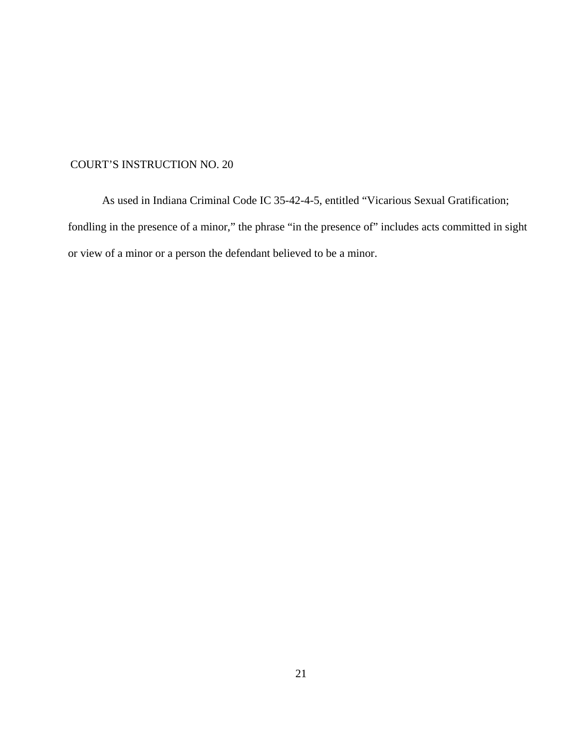As used in Indiana Criminal Code IC 35-42-4-5, entitled "Vicarious Sexual Gratification; fondling in the presence of a minor," the phrase "in the presence of" includes acts committed in sight or view of a minor or a person the defendant believed to be a minor.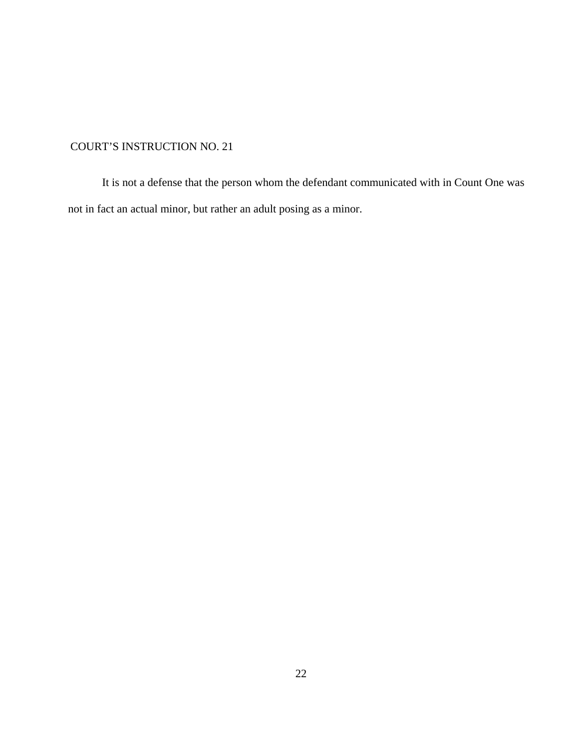It is not a defense that the person whom the defendant communicated with in Count One was not in fact an actual minor, but rather an adult posing as a minor.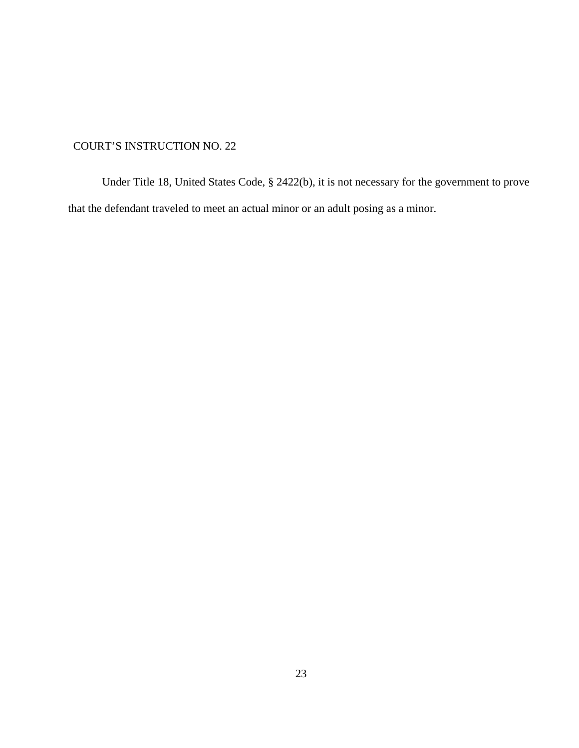Under Title 18, United States Code, § 2422(b), it is not necessary for the government to prove that the defendant traveled to meet an actual minor or an adult posing as a minor.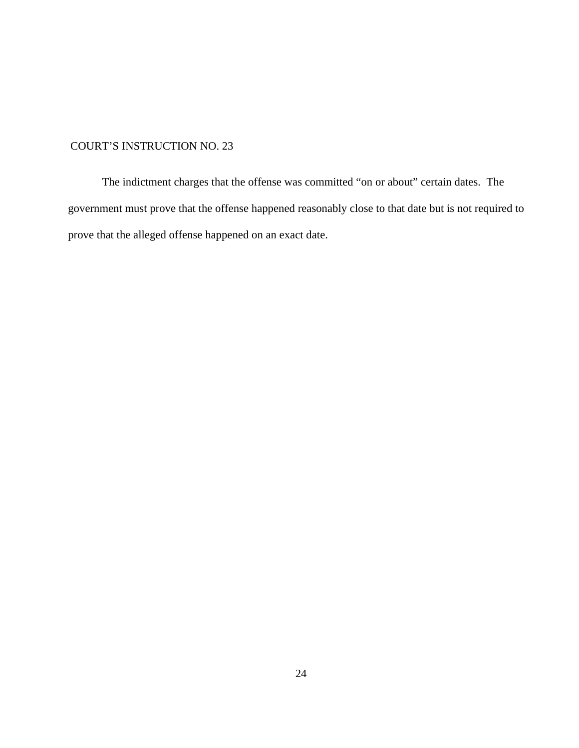The indictment charges that the offense was committed "on or about" certain dates. The government must prove that the offense happened reasonably close to that date but is not required to prove that the alleged offense happened on an exact date.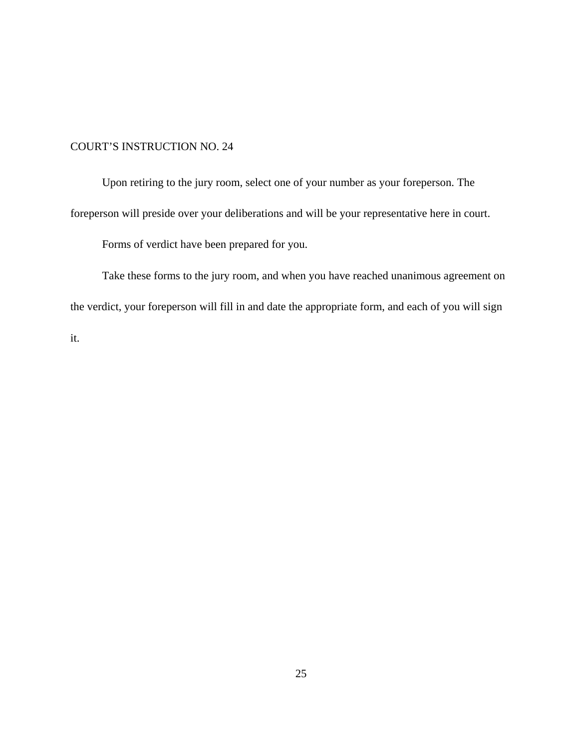Upon retiring to the jury room, select one of your number as your foreperson. The foreperson will preside over your deliberations and will be your representative here in court.

Forms of verdict have been prepared for you.

Take these forms to the jury room, and when you have reached unanimous agreement on the verdict, your foreperson will fill in and date the appropriate form, and each of you will sign it.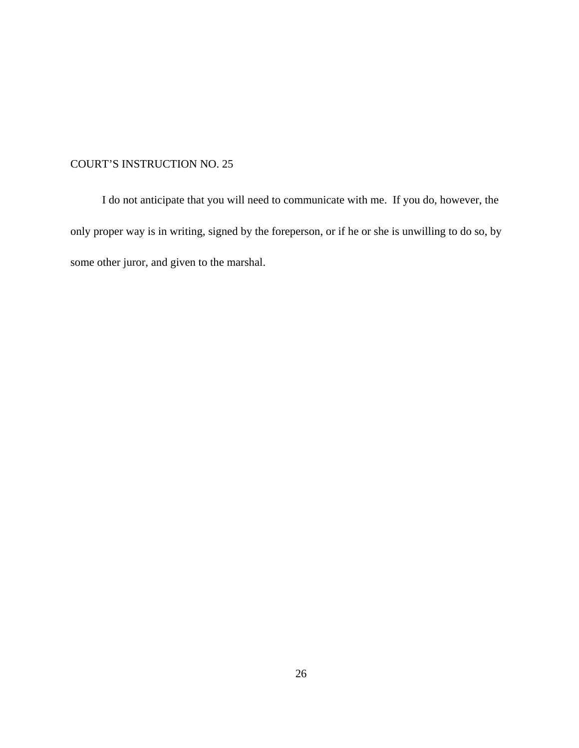I do not anticipate that you will need to communicate with me. If you do, however, the only proper way is in writing, signed by the foreperson, or if he or she is unwilling to do so, by some other juror, and given to the marshal.